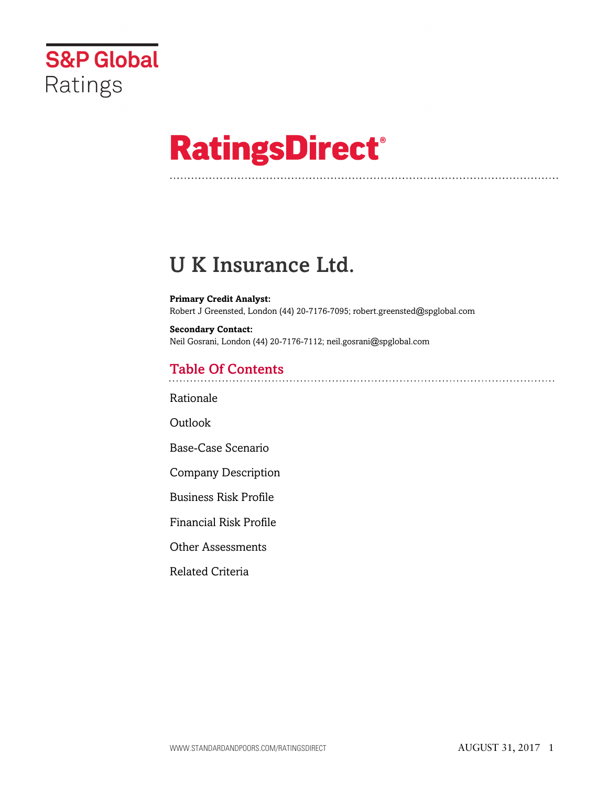

# **RatingsDirect®**

## U K Insurance Ltd.

**Primary Credit Analyst:** Robert J Greensted, London (44) 20-7176-7095; robert.greensted@spglobal.com

**Secondary Contact:** Neil Gosrani, London (44) 20-7176-7112; neil.gosrani@spglobal.com

## Table Of Contents

[Rationale](#page-1-0)

Outlook

[Base-Case Scenario](#page-2-0)

[Company Description](#page-3-0)

[Business Risk Profile](#page-3-1)

[Financial Risk Profile](#page-5-0)

[Other Assessments](#page-6-0)

[Related Criteria](#page-7-0)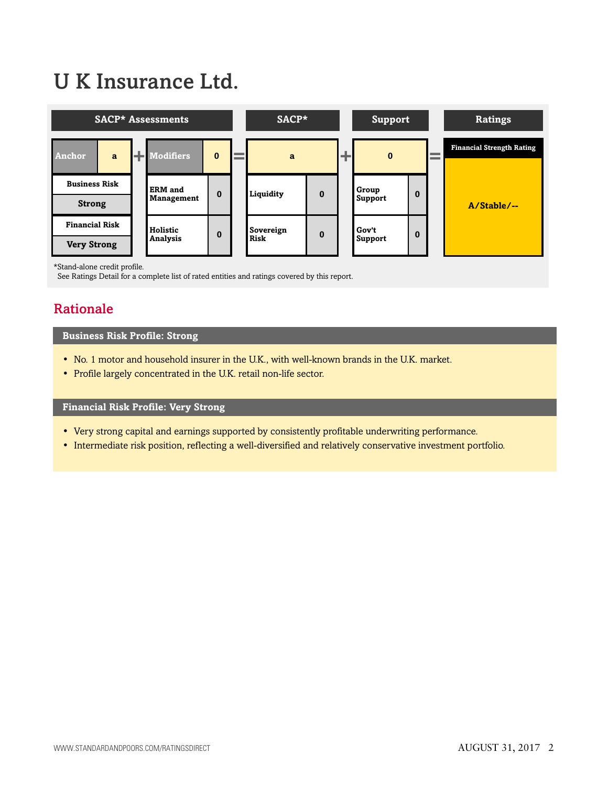## U K Insurance Ltd.



\*Stand-alone credit profile.

<span id="page-1-0"></span>See Ratings Detail for a complete list of rated entities and ratings covered by this report.

## Rationale

#### **Business Risk Profile: Strong**

- No. 1 motor and household insurer in the U.K., with well-known brands in the U.K. market.
- Profile largely concentrated in the U.K. retail non-life sector.

#### **Financial Risk Profile: Very Strong**

- Very strong capital and earnings supported by consistently profitable underwriting performance.
- Intermediate risk position, reflecting a well-diversified and relatively conservative investment portfolio.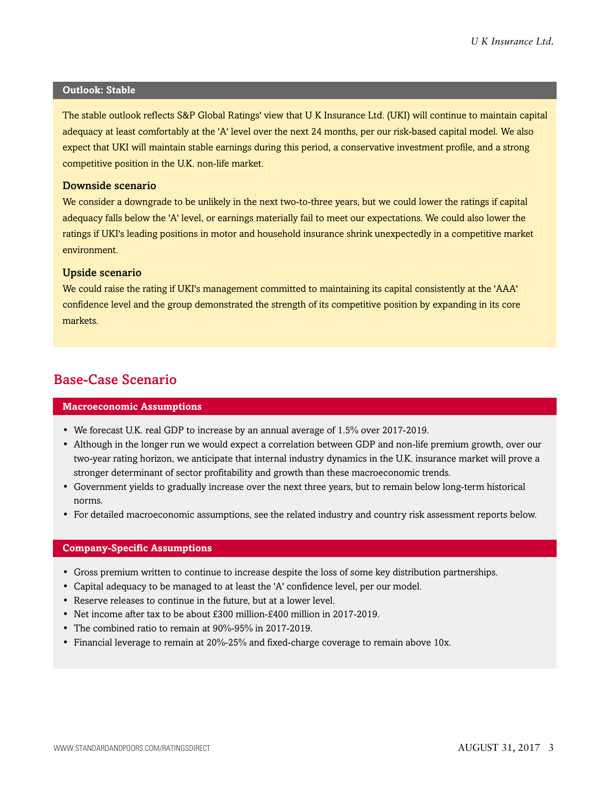#### **Outlook: Stable**

The stable outlook reflects S&P Global Ratings' view that U K Insurance Ltd. (UKI) will continue to maintain capital adequacy at least comfortably at the 'A' level over the next 24 months, per our risk-based capital model. We also expect that UKI will maintain stable earnings during this period, a conservative investment profile, and a strong competitive position in the U.K. non-life market.

#### Downside scenario

We consider a downgrade to be unlikely in the next two-to-three years, but we could lower the ratings if capital adequacy falls below the 'A' level, or earnings materially fail to meet our expectations. We could also lower the ratings if UKI's leading positions in motor and household insurance shrink unexpectedly in a competitive market environment.

#### Upside scenario

We could raise the rating if UKI's management committed to maintaining its capital consistently at the 'AAA' confidence level and the group demonstrated the strength of its competitive position by expanding in its core markets.

## <span id="page-2-0"></span>Base-Case Scenario

#### **Macroeconomic Assumptions**

- We forecast U.K. real GDP to increase by an annual average of 1.5% over 2017-2019.
- Although in the longer run we would expect a correlation between GDP and non-life premium growth, over our two-year rating horizon, we anticipate that internal industry dynamics in the U.K. insurance market will prove a stronger determinant of sector profitability and growth than these macroeconomic trends.
- Government yields to gradually increase over the next three years, but to remain below long-term historical norms.
- For detailed macroeconomic assumptions, see the related industry and country risk assessment reports below.

#### **Company-Specific Assumptions**

- Gross premium written to continue to increase despite the loss of some key distribution partnerships.
- Capital adequacy to be managed to at least the 'A' confidence level, per our model.
- Reserve releases to continue in the future, but at a lower level.
- Net income after tax to be about £300 million-£400 million in 2017-2019.
- The combined ratio to remain at 90%-95% in 2017-2019.
- Financial leverage to remain at 20%-25% and fixed-charge coverage to remain above 10x.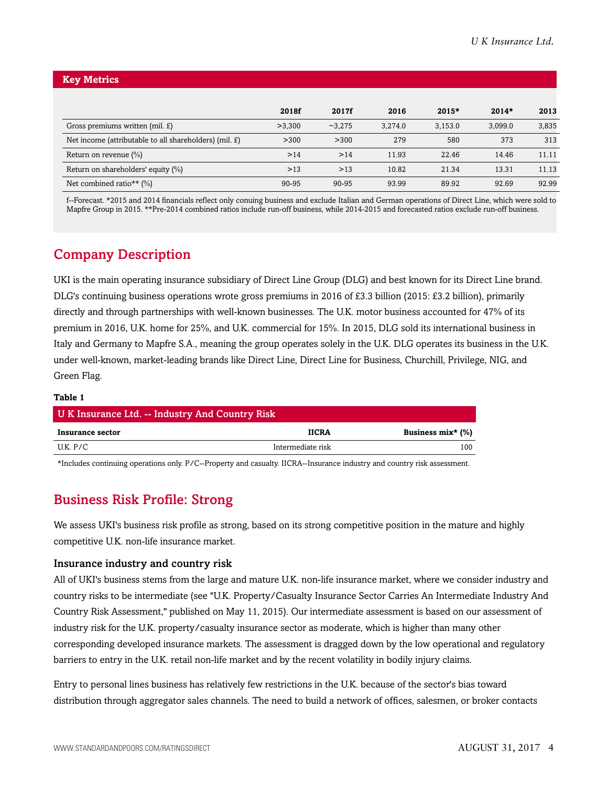| <b>Key Metrics</b> |  |  |
|--------------------|--|--|
|                    |  |  |
|                    |  |  |

|                                                        | 2018f  | 2017f   | 2016    | $2015*$ | $2014*$ | 2013  |
|--------------------------------------------------------|--------|---------|---------|---------|---------|-------|
| Gross premiums written (mil. £)                        | >3.300 | ~23.275 | 3.274.0 | 3,153.0 | 3,099.0 | 3,835 |
| Net income (attributable to all shareholders) (mil. £) | >300   | >300    | 279     | 580     | 373     | 313   |
| Return on revenue (%)                                  | >14    | >14     | 11.93   | 22.46   | 14.46   | 11.11 |
| Return on shareholders' equity (%)                     | >13    | >13     | 10.82   | 21.34   | 13.31   | 11.13 |
| Net combined ratio** $(\%)$                            | 90-95  | 90-95   | 93.99   | 89.92   | 92.69   | 92.99 |

f--Forecast. \*2015 and 2014 financials reflect only conuing business and exclude Italian and German operations of Direct Line, which were sold to Mapfre Group in 2015. \*\*Pre-2014 combined ratios include run-off business, while 2014-2015 and forecasted ratios exclude run-off business.

## <span id="page-3-0"></span>Company Description

UKI is the main operating insurance subsidiary of Direct Line Group (DLG) and best known for its Direct Line brand. DLG's continuing business operations wrote gross premiums in 2016 of £3.3 billion (2015: £3.2 billion), primarily directly and through partnerships with well-known businesses. The U.K. motor business accounted for 47% of its premium in 2016, U.K. home for 25%, and U.K. commercial for 15%. In 2015, DLG sold its international business in Italy and Germany to Mapfre S.A., meaning the group operates solely in the U.K. DLG operates its business in the U.K. under well-known, market-leading brands like Direct Line, Direct Line for Business, Churchill, Privilege, NIG, and Green Flag.

#### **Table 1**

| U K Insurance Ltd. -- Industry And Country Risk |                   |                   |  |  |  |  |
|-------------------------------------------------|-------------------|-------------------|--|--|--|--|
| Insurance sector                                | <b>IICRA</b>      | Business mix* (%) |  |  |  |  |
| U.K. P/C                                        | Intermediate risk | 100               |  |  |  |  |

<span id="page-3-1"></span>\*Includes continuing operations only. P/C--Property and casualty. IICRA--Insurance industry and country risk assessment.

## Business Risk Profile: Strong

We assess UKI's business risk profile as strong, based on its strong competitive position in the mature and highly competitive U.K. non-life insurance market.

#### Insurance industry and country risk

All of UKI's business stems from the large and mature U.K. non-life insurance market, where we consider industry and country risks to be intermediate (see "U.K. Property/Casualty Insurance Sector Carries An Intermediate Industry And Country Risk Assessment," published on May 11, 2015). Our intermediate assessment is based on our assessment of industry risk for the U.K. property/casualty insurance sector as moderate, which is higher than many other corresponding developed insurance markets. The assessment is dragged down by the low operational and regulatory barriers to entry in the U.K. retail non-life market and by the recent volatility in bodily injury claims.

Entry to personal lines business has relatively few restrictions in the U.K. because of the sector's bias toward distribution through aggregator sales channels. The need to build a network of offices, salesmen, or broker contacts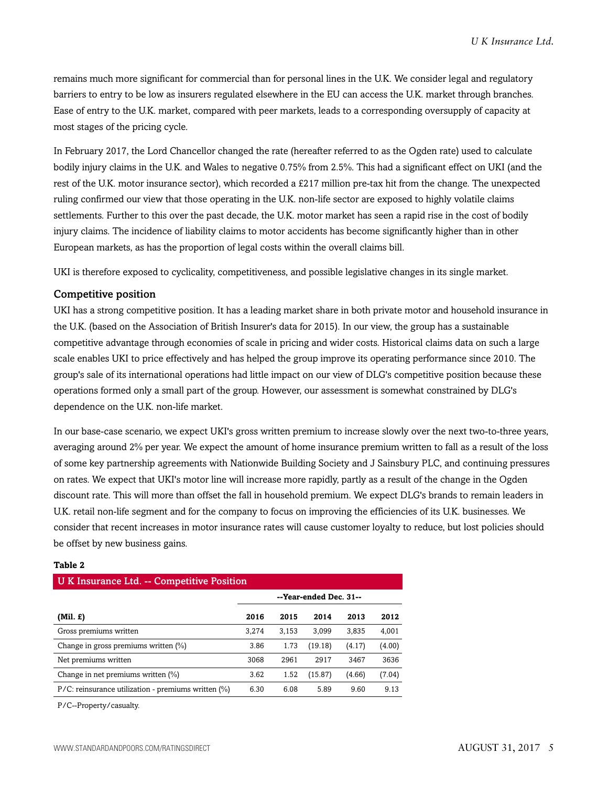remains much more significant for commercial than for personal lines in the U.K. We consider legal and regulatory barriers to entry to be low as insurers regulated elsewhere in the EU can access the U.K. market through branches. Ease of entry to the U.K. market, compared with peer markets, leads to a corresponding oversupply of capacity at most stages of the pricing cycle.

In February 2017, the Lord Chancellor changed the rate (hereafter referred to as the Ogden rate) used to calculate bodily injury claims in the U.K. and Wales to negative 0.75% from 2.5%. This had a significant effect on UKI (and the rest of the U.K. motor insurance sector), which recorded a £217 million pre-tax hit from the change. The unexpected ruling confirmed our view that those operating in the U.K. non-life sector are exposed to highly volatile claims settlements. Further to this over the past decade, the U.K. motor market has seen a rapid rise in the cost of bodily injury claims. The incidence of liability claims to motor accidents has become significantly higher than in other European markets, as has the proportion of legal costs within the overall claims bill.

UKI is therefore exposed to cyclicality, competitiveness, and possible legislative changes in its single market.

#### Competitive position

UKI has a strong competitive position. It has a leading market share in both private motor and household insurance in the U.K. (based on the Association of British Insurer's data for 2015). In our view, the group has a sustainable competitive advantage through economies of scale in pricing and wider costs. Historical claims data on such a large scale enables UKI to price effectively and has helped the group improve its operating performance since 2010. The group's sale of its international operations had little impact on our view of DLG's competitive position because these operations formed only a small part of the group. However, our assessment is somewhat constrained by DLG's dependence on the U.K. non-life market.

In our base-case scenario, we expect UKI's gross written premium to increase slowly over the next two-to-three years, averaging around 2% per year. We expect the amount of home insurance premium written to fall as a result of the loss of some key partnership agreements with Nationwide Building Society and J Sainsbury PLC, and continuing pressures on rates. We expect that UKI's motor line will increase more rapidly, partly as a result of the change in the Ogden discount rate. This will more than offset the fall in household premium. We expect DLG's brands to remain leaders in U.K. retail non-life segment and for the company to focus on improving the efficiencies of its U.K. businesses. We consider that recent increases in motor insurance rates will cause customer loyalty to reduce, but lost policies should be offset by new business gains.

| U K Insurance Ltd. -- Competitive Position          |                        |       |         |        |        |  |  |
|-----------------------------------------------------|------------------------|-------|---------|--------|--------|--|--|
|                                                     | --Year-ended Dec. 31-- |       |         |        |        |  |  |
| $(Mil. \mathcal{L})$                                | 2016                   | 2015  | 2014    | 2013   | 2012   |  |  |
| Gross premiums written                              | 3,274                  | 3,153 | 3,099   | 3,835  | 4,001  |  |  |
| Change in gross premiums written (%)                | 3.86                   | 1.73  | (19.18) | (4.17) | (4.00) |  |  |
| Net premiums written                                | 3068                   | 2961  | 2917    | 3467   | 3636   |  |  |
| Change in net premiums written (%)                  | 3.62                   | 1.52  | (15.87) | (4.66) | (7.04) |  |  |
| P/C: reinsurance utilization - premiums written (%) | 6.30                   | 6.08  | 5.89    | 9.60   | 9.13   |  |  |

#### **Table 2**

P/C--Property/casualty.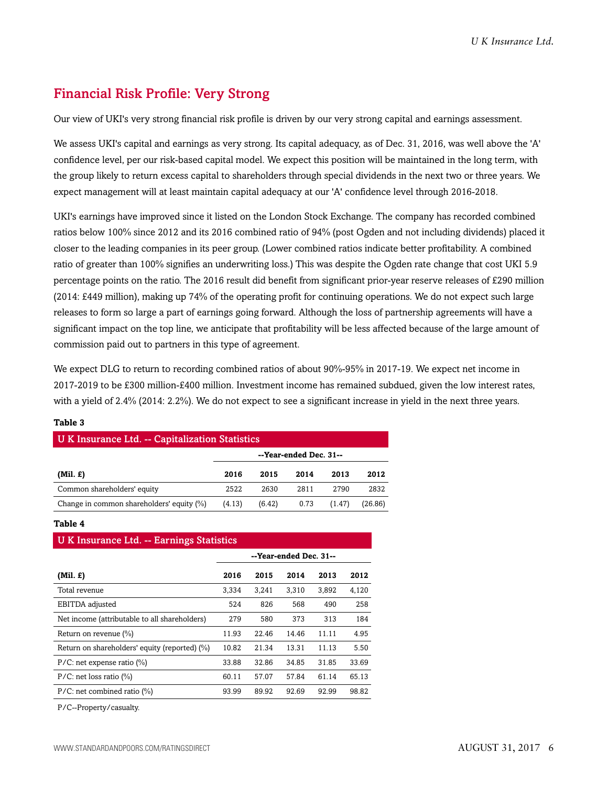## <span id="page-5-0"></span>Financial Risk Profile: Very Strong

Our view of UKI's very strong financial risk profile is driven by our very strong capital and earnings assessment.

We assess UKI's capital and earnings as very strong. Its capital adequacy, as of Dec. 31, 2016, was well above the 'A' confidence level, per our risk-based capital model. We expect this position will be maintained in the long term, with the group likely to return excess capital to shareholders through special dividends in the next two or three years. We expect management will at least maintain capital adequacy at our 'A' confidence level through 2016-2018.

UKI's earnings have improved since it listed on the London Stock Exchange. The company has recorded combined ratios below 100% since 2012 and its 2016 combined ratio of 94% (post Ogden and not including dividends) placed it closer to the leading companies in its peer group. (Lower combined ratios indicate better profitability. A combined ratio of greater than 100% signifies an underwriting loss.) This was despite the Ogden rate change that cost UKI 5.9 percentage points on the ratio. The 2016 result did benefit from significant prior-year reserve releases of £290 million (2014: £449 million), making up 74% of the operating profit for continuing operations. We do not expect such large releases to form so large a part of earnings going forward. Although the loss of partnership agreements will have a significant impact on the top line, we anticipate that profitability will be less affected because of the large amount of commission paid out to partners in this type of agreement.

We expect DLG to return to recording combined ratios of about 90%-95% in 2017-19. We expect net income in 2017-2019 to be £300 million-£400 million. Investment income has remained subdued, given the low interest rates, with a yield of 2.4% (2014: 2.2%). We do not expect to see a significant increase in yield in the next three years.

| U K Insurance Ltd. -- Capitalization Statistics |                        |        |      |        |         |  |  |
|-------------------------------------------------|------------------------|--------|------|--------|---------|--|--|
|                                                 | --Year-ended Dec. 31-- |        |      |        |         |  |  |
| $(Mil. \mathcal{L})$                            | 2016                   | 2015   | 2014 | 2013   | 2012    |  |  |
| Common shareholders' equity                     | 2522                   | 2630   | 2811 | 2790   | 2832    |  |  |
| Change in common shareholders' equity (%)       | (4.13)                 | (6.42) | 0.73 | (1.47) | (26.86) |  |  |

#### **Table 3**

#### **Table 4**

| <b>UK Insurance Ltd. -- Earnings Statistics</b> |                        |       |       |       |       |  |  |
|-------------------------------------------------|------------------------|-------|-------|-------|-------|--|--|
|                                                 | --Year-ended Dec. 31-- |       |       |       |       |  |  |
| $(Mil. \tE)$                                    | 2016                   | 2015  | 2014  | 2013  | 2012  |  |  |
| Total revenue                                   | 3,334                  | 3.241 | 3,310 | 3,892 | 4,120 |  |  |
| EBITDA adjusted                                 | 524                    | 826   | 568   | 490   | 258   |  |  |
| Net income (attributable to all shareholders)   | 279                    | 580   | 373   | 313   | 184   |  |  |
| Return on revenue $(\%)$                        | 11.93                  | 22.46 | 14.46 | 11.11 | 4.95  |  |  |
| Return on shareholders' equity (reported) (%)   | 10.82                  | 21.34 | 13.31 | 11.13 | 5.50  |  |  |
| $P/C$ : net expense ratio $(\%)$                | 33.88                  | 32.86 | 34.85 | 31.85 | 33.69 |  |  |
| $P/C$ : net loss ratio (%)                      | 60.11                  | 57.07 | 57.84 | 61.14 | 65.13 |  |  |
| $P/C$ : net combined ratio $(\%)$               | 93.99                  | 89.92 | 92.69 | 92.99 | 98.82 |  |  |

P/C--Property/casualty.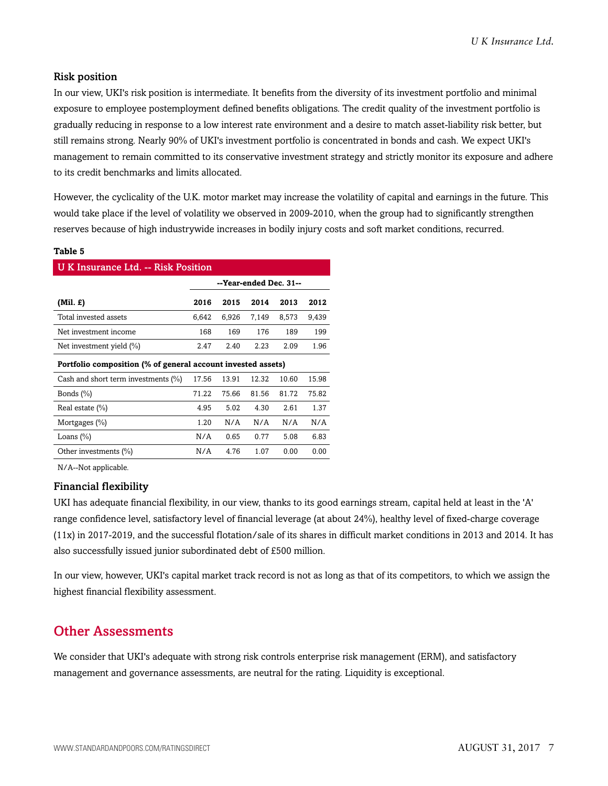#### Risk position

In our view, UKI's risk position is intermediate. It benefits from the diversity of its investment portfolio and minimal exposure to employee postemployment defined benefits obligations. The credit quality of the investment portfolio is gradually reducing in response to a low interest rate environment and a desire to match asset-liability risk better, but still remains strong. Nearly 90% of UKI's investment portfolio is concentrated in bonds and cash. We expect UKI's management to remain committed to its conservative investment strategy and strictly monitor its exposure and adhere to its credit benchmarks and limits allocated.

However, the cyclicality of the U.K. motor market may increase the volatility of capital and earnings in the future. This would take place if the level of volatility we observed in 2009-2010, when the group had to significantly strengthen reserves because of high industrywide increases in bodily injury costs and soft market conditions, recurred.

#### **Table 5**

| <b>UK Insurance Ltd. -- Risk Position</b>                    |                        |       |       |       |       |  |  |  |
|--------------------------------------------------------------|------------------------|-------|-------|-------|-------|--|--|--|
|                                                              | --Year-ended Dec. 31-- |       |       |       |       |  |  |  |
| (Mil. £)                                                     | 2016                   | 2015  | 2014  | 2013  | 2012  |  |  |  |
| Total invested assets                                        | 6,642                  | 6,926 | 7,149 | 8,573 | 9,439 |  |  |  |
| Net investment income                                        | 168                    | 169   | 176   | 189   | 199   |  |  |  |
| Net investment yield $(\% )$                                 | 2.47                   | 2.40  | 2.23  | 2.09  | 1.96  |  |  |  |
| Portfolio composition (% of general account invested assets) |                        |       |       |       |       |  |  |  |
| Cash and short term investments (%)                          | 17.56                  | 13.91 | 12.32 | 10.60 | 15.98 |  |  |  |
| Bonds $(\% )$                                                | 71.22                  | 75.66 | 81.56 | 81.72 | 75.82 |  |  |  |
| Real estate $(\% )$                                          | 4.95                   | 5.02  | 4.30  | 2.61  | 1.37  |  |  |  |
| Mortgages $(\% )$                                            | 1.20                   | N/A   | N/A   | N/A   | N/A   |  |  |  |
| Loans $(\%)$                                                 | N/A                    | 0.65  | 0.77  | 5.08  | 6.83  |  |  |  |
| Other investments $(\% )$                                    | N/A                    | 4.76  | 1.07  | 0.00  | 0.00  |  |  |  |
|                                                              |                        |       |       |       |       |  |  |  |

N/A--Not applicable.

#### Financial flexibility

UKI has adequate financial flexibility, in our view, thanks to its good earnings stream, capital held at least in the 'A' range confidence level, satisfactory level of financial leverage (at about 24%), healthy level of fixed-charge coverage (11x) in 2017-2019, and the successful flotation/sale of its shares in difficult market conditions in 2013 and 2014. It has also successfully issued junior subordinated debt of £500 million.

In our view, however, UKI's capital market track record is not as long as that of its competitors, to which we assign the highest financial flexibility assessment.

### <span id="page-6-0"></span>Other Assessments

We consider that UKI's adequate with strong risk controls enterprise risk management (ERM), and satisfactory management and governance assessments, are neutral for the rating. Liquidity is exceptional.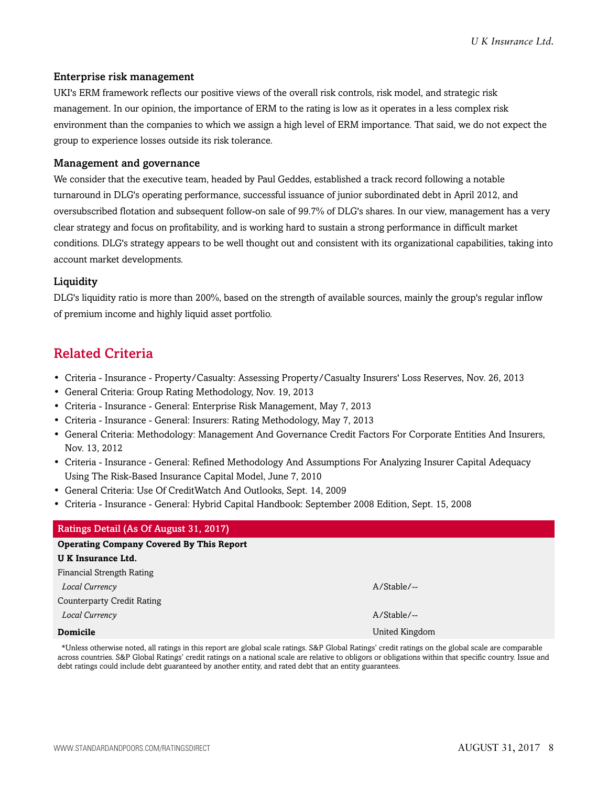#### Enterprise risk management

UKI's ERM framework reflects our positive views of the overall risk controls, risk model, and strategic risk management. In our opinion, the importance of ERM to the rating is low as it operates in a less complex risk environment than the companies to which we assign a high level of ERM importance. That said, we do not expect the group to experience losses outside its risk tolerance.

#### Management and governance

We consider that the executive team, headed by Paul Geddes, established a track record following a notable turnaround in DLG's operating performance, successful issuance of junior subordinated debt in April 2012, and oversubscribed flotation and subsequent follow-on sale of 99.7% of DLG's shares. In our view, management has a very clear strategy and focus on profitability, and is working hard to sustain a strong performance in difficult market conditions. DLG's strategy appears to be well thought out and consistent with its organizational capabilities, taking into account market developments.

#### Liquidity

DLG's liquidity ratio is more than 200%, based on the strength of available sources, mainly the group's regular inflow of premium income and highly liquid asset portfolio.

## <span id="page-7-0"></span>Related Criteria

- Criteria Insurance Property/Casualty: Assessing Property/Casualty Insurers' Loss Reserves, Nov. 26, 2013
- General Criteria: Group Rating Methodology, Nov. 19, 2013
- Criteria Insurance General: Enterprise Risk Management, May 7, 2013
- Criteria Insurance General: Insurers: Rating Methodology, May 7, 2013
- General Criteria: Methodology: Management And Governance Credit Factors For Corporate Entities And Insurers, Nov. 13, 2012
- Criteria Insurance General: Refined Methodology And Assumptions For Analyzing Insurer Capital Adequacy Using The Risk-Based Insurance Capital Model, June 7, 2010
- General Criteria: Use Of CreditWatch And Outlooks, Sept. 14, 2009
- Criteria Insurance General: Hybrid Capital Handbook: September 2008 Edition, Sept. 15, 2008

## Ratings Detail (As Of August 31, 2017) **Operating Company Covered By This Report U K Insurance Ltd.** Financial Strength Rating *Local Currency* A/Stable/-- Counterparty Credit Rating *Local Currency* A/Stable/-- **Domicile** United Kingdom **Domicile** United Kingdom **United Kingdom**

\*Unless otherwise noted, all ratings in this report are global scale ratings. S&P Global Ratings' credit ratings on the global scale are comparable across countries. S&P Global Ratings' credit ratings on a national scale are relative to obligors or obligations within that specific country. Issue and debt ratings could include debt guaranteed by another entity, and rated debt that an entity guarantees.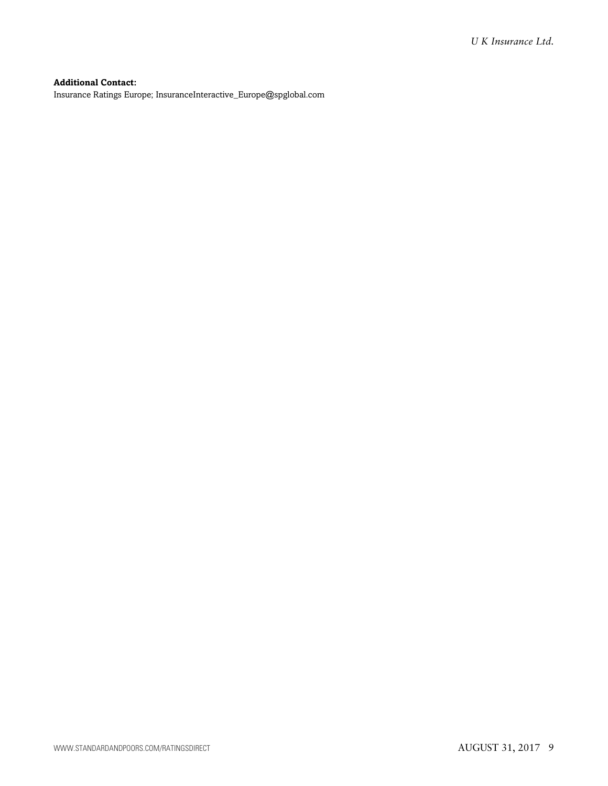#### **Additional Contact:**

Insurance Ratings Europe; InsuranceInteractive\_Europe@spglobal.com